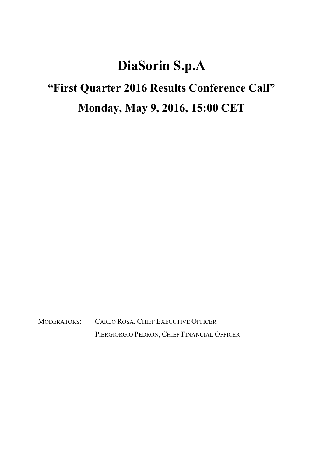## DiaSorin S.p.A

## "First Quarter 2016 Results Conference Call" Monday, May 9, 2016, 15:00 CET

MODERATORS: CARLO ROSA, CHIEF EXECUTIVE OFFICER PIERGIORGIO PEDRON, CHIEF FINANCIAL OFFICER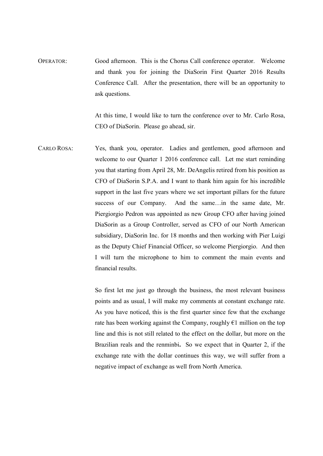OPERATOR: Good afternoon. This is the Chorus Call conference operator. Welcome and thank you for joining the DiaSorin First Quarter 2016 Results Conference Call. After the presentation, there will be an opportunity to ask questions.

> At this time, I would like to turn the conference over to Mr. Carlo Rosa, CEO of DiaSorin. Please go ahead, sir.

CARLO ROSA: Yes, thank you, operator. Ladies and gentlemen, good afternoon and welcome to our Quarter 1 2016 conference call. Let me start reminding you that starting from April 28, Mr. DeAngelis retired from his position as CFO of DiaSorin S.P.A. and I want to thank him again for his incredible support in the last five years where we set important pillars for the future success of our Company. And the same...in the same date, Mr. Piergiorgio Pedron was appointed as new Group CFO after having joined DiaSorin as a Group Controller, served as CFO of our North American subsidiary, DiaSorin Inc. for 18 months and then working with Pier Luigi as the Deputy Chief Financial Officer, so welcome Piergiorgio. And then I will turn the microphone to him to comment the main events and financial results.

> So first let me just go through the business, the most relevant business points and as usual, I will make my comments at constant exchange rate. As you have noticed, this is the first quarter since few that the exchange rate has been working against the Company, roughly  $\epsilon$ 1 million on the top line and this is not still related to the effect on the dollar, but more on the Brazilian reals and the renminbi. So we expect that in Quarter 2, if the exchange rate with the dollar continues this way, we will suffer from a negative impact of exchange as well from North America.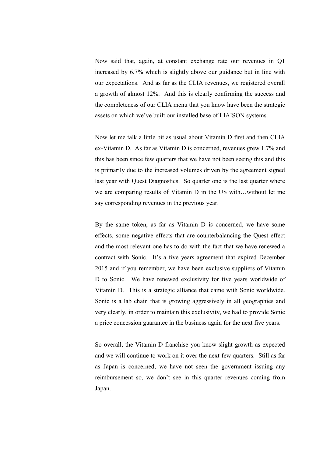Now said that, again, at constant exchange rate our revenues in Q1 increased by 6.7% which is slightly above our guidance but in line with our expectations. And as far as the CLIA revenues, we registered overall a growth of almost 12%. And this is clearly confirming the success and the completeness of our CLIA menu that you know have been the strategic assets on which we've built our installed base of LIAISON systems.

 Now let me talk a little bit as usual about Vitamin D first and then CLIA ex-Vitamin D. As far as Vitamin D is concerned, revenues grew 1.7% and this has been since few quarters that we have not been seeing this and this is primarily due to the increased volumes driven by the agreement signed last year with Quest Diagnostics. So quarter one is the last quarter where we are comparing results of Vitamin D in the US with…without let me say corresponding revenues in the previous year.

 By the same token, as far as Vitamin D is concerned, we have some effects, some negative effects that are counterbalancing the Quest effect and the most relevant one has to do with the fact that we have renewed a contract with Sonic. It's a five years agreement that expired December 2015 and if you remember, we have been exclusive suppliers of Vitamin D to Sonic. We have renewed exclusivity for five years worldwide of Vitamin D. This is a strategic alliance that came with Sonic worldwide. Sonic is a lab chain that is growing aggressively in all geographies and very clearly, in order to maintain this exclusivity, we had to provide Sonic a price concession guarantee in the business again for the next five years.

 So overall, the Vitamin D franchise you know slight growth as expected and we will continue to work on it over the next few quarters. Still as far as Japan is concerned, we have not seen the government issuing any reimbursement so, we don't see in this quarter revenues coming from Japan.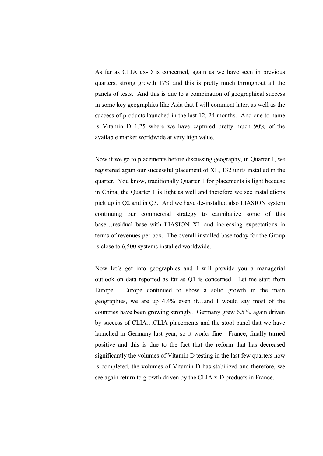As far as CLIA ex-D is concerned, again as we have seen in previous quarters, strong growth 17% and this is pretty much throughout all the panels of tests. And this is due to a combination of geographical success in some key geographies like Asia that I will comment later, as well as the success of products launched in the last 12, 24 months. And one to name is Vitamin D 1,25 where we have captured pretty much 90% of the available market worldwide at very high value.

 Now if we go to placements before discussing geography, in Quarter 1, we registered again our successful placement of XL, 132 units installed in the quarter. You know, traditionally Quarter 1 for placements is light because in China, the Quarter 1 is light as well and therefore we see installations pick up in Q2 and in Q3. And we have de-installed also LIASION system continuing our commercial strategy to cannibalize some of this base…residual base with LIASION XL and increasing expectations in terms of revenues per box. The overall installed base today for the Group is close to 6,500 systems installed worldwide.

 Now let's get into geographies and I will provide you a managerial outlook on data reported as far as Q1 is concerned. Let me start from Europe. Europe continued to show a solid growth in the main geographies, we are up 4.4% even if…and I would say most of the countries have been growing strongly. Germany grew 6.5%, again driven by success of CLIA…CLIA placements and the stool panel that we have launched in Germany last year, so it works fine. France, finally turned positive and this is due to the fact that the reform that has decreased significantly the volumes of Vitamin D testing in the last few quarters now is completed, the volumes of Vitamin D has stabilized and therefore, we see again return to growth driven by the CLIA x-D products in France.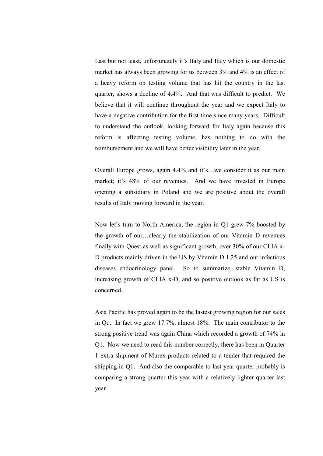Last but not least, unfortunately it's Italy and Italy which is our domestic market has always been growing for us between 3% and 4% is an effect of a heavy reform on testing volume that has hit the country in the last quarter, shows a decline of 4.4%. And that was difficult to predict. We believe that it will continue throughout the year and we expect Italy to have a negative contribution for the first time since many years. Difficult to understand the outlook, looking forward for Italy again because this reform is affecting testing volume, has nothing to do with the reimbursement and we will have better visibility later in the year.

 Overall Europe grows, again 4.4% and it's…we consider it as our main market; it's 48% of our revenues. And we have invested in Europe opening a subsidiary in Poland and we are positive about the overall results of Italy moving forward in the year.

 Now let's turn to North America, the region in Q1 grew 7% boosted by the growth of our…clearly the stabilization of our Vitamin D revenues finally with Quest as well as significant growth, over 30% of our CLIA x-D products mainly driven in the US by Vitamin D 1,25 and our infectious diseases endocrinology panel. So to summarize, stable Vitamin D, increasing growth of CLIA x-D, and so positive outlook as far as US is concerned.

 Asia Pacific has proved again to be the fastest growing region for our sales in Qq. In fact we grew 17.7%, almost 18%. The main contributor to the strong positive trend was again China which recorded a growth of 74% in Q1. Now we need to read this number correctly, there has been in Quarter 1 extra shipment of Murex products related to a tender that required the shipping in Q1. And also the comparable to last year quarter probably is comparing a strong quarter this year with a relatively lighter quarter last year.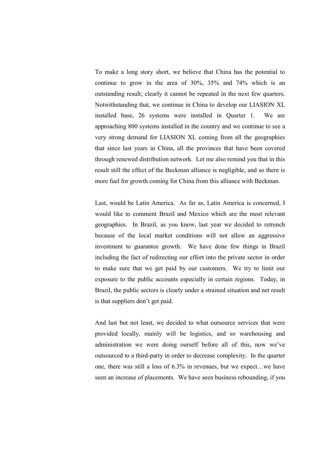To make a long story short, we believe that China has the potential to continue to grow in the area of 30%, 35% and 74% which is an outstanding result; clearly it cannot be repeated in the next few quarters. Notwithstanding that, we continue in China to develop our LIASION XL installed base, 26 systems were installed in Quarter 1. We are approaching 800 systems installed in the country and we continue to see a very strong demand for LIASION XL coming from all the geographies that since last years in China, all the provinces that have been covered through renewed distribution network. Let me also remind you that in this result still the effect of the Beckman alliance is negligible, and so there is more fuel for growth coming for China from this alliance with Beckman.

 Last, would be Latin America. As far as, Latin America is concerned, I would like to comment Brazil and Mexico which are the most relevant geographies. In Brazil, as you know, last year we decided to retrench because of the local market conditions will not allow an aggressive investment to guarantee growth. We have done few things in Brazil including the fact of redirecting our effort into the private sector in order to make sure that we get paid by our customers. We try to limit our exposure to the public accounts especially in certain regions. Today, in Brazil, the public sectors is clearly under a strained situation and net result is that suppliers don't get paid.

 And last but not least, we decided to what outsource services that were provided locally, mainly will be logistics, and so warehousing and administration we were doing ourself before all of this, now we've outsourced to a third-party in order to decrease complexity. In the quarter one, there was still a loss of 6.3% in revenues, but we expect…we have seen an increase of placements. We have seen business rebounding, if you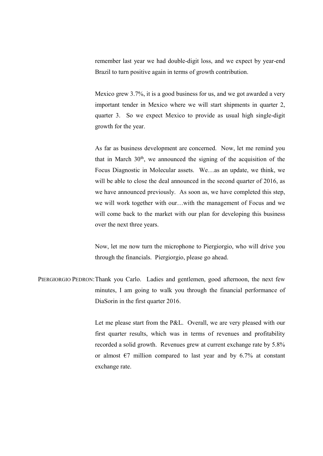remember last year we had double-digit loss, and we expect by year-end Brazil to turn positive again in terms of growth contribution.

 Mexico grew 3.7%, it is a good business for us, and we got awarded a very important tender in Mexico where we will start shipments in quarter 2, quarter 3. So we expect Mexico to provide as usual high single-digit growth for the year.

 As far as business development are concerned. Now, let me remind you that in March  $30<sup>th</sup>$ , we announced the signing of the acquisition of the Focus Diagnostic in Molecular assets. We…as an update, we think, we will be able to close the deal announced in the second quarter of 2016, as we have announced previously. As soon as, we have completed this step, we will work together with our…with the management of Focus and we will come back to the market with our plan for developing this business over the next three years.

 Now, let me now turn the microphone to Piergiorgio, who will drive you through the financials. Piergiorgio, please go ahead.

PIERGIORGIO PEDRON: Thank you Carlo. Ladies and gentlemen, good afternoon, the next few minutes, I am going to walk you through the financial performance of DiaSorin in the first quarter 2016.

> Let me please start from the P&L. Overall, we are very pleased with our first quarter results, which was in terms of revenues and profitability recorded a solid growth. Revenues grew at current exchange rate by 5.8% or almost  $\epsilon$ 7 million compared to last year and by 6.7% at constant exchange rate.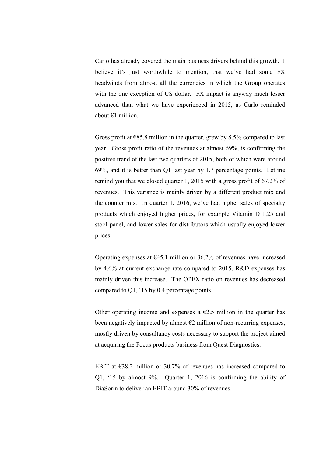Carlo has already covered the main business drivers behind this growth. I believe it's just worthwhile to mention, that we've had some FX headwinds from almost all the currencies in which the Group operates with the one exception of US dollar. FX impact is anyway much lesser advanced than what we have experienced in 2015, as Carlo reminded about €1 million.

Gross profit at  $\epsilon$ 85.8 million in the quarter, grew by 8.5% compared to last year. Gross profit ratio of the revenues at almost 69%, is confirming the positive trend of the last two quarters of 2015, both of which were around 69%, and it is better than Q1 last year by 1.7 percentage points. Let me remind you that we closed quarter 1, 2015 with a gross profit of 67.2% of revenues. This variance is mainly driven by a different product mix and the counter mix. In quarter 1, 2016, we've had higher sales of specialty products which enjoyed higher prices, for example Vitamin D 1,25 and stool panel, and lower sales for distributors which usually enjoyed lower prices.

Operating expenses at  $645.1$  million or 36.2% of revenues have increased by 4.6% at current exchange rate compared to 2015, R&D expenses has mainly driven this increase. The OPEX ratio on revenues has decreased compared to Q1, '15 by 0.4 percentage points.

Other operating income and expenses a  $E$ 2.5 million in the quarter has been negatively impacted by almost  $\epsilon$ 2 million of non-recurring expenses, mostly driven by consultancy costs necessary to support the project aimed at acquiring the Focus products business from Quest Diagnostics.

EBIT at  $\epsilon$ 38.2 million or 30.7% of revenues has increased compared to Q1, '15 by almost 9%. Quarter 1, 2016 is confirming the ability of DiaSorin to deliver an EBIT around 30% of revenues.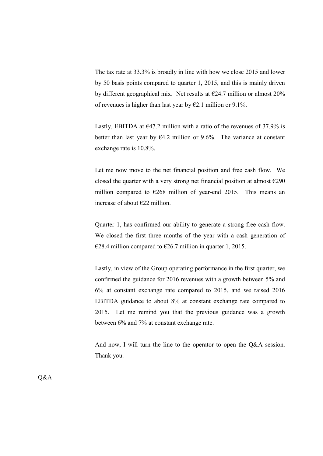The tax rate at 33.3% is broadly in line with how we close 2015 and lower by 50 basis points compared to quarter 1, 2015, and this is mainly driven by different geographical mix. Net results at  $\epsilon$ 24.7 million or almost 20% of revenues is higher than last year by  $\epsilon$ 2.1 million or 9.1%.

Lastly, EBITDA at  $647.2$  million with a ratio of the revenues of 37.9% is better than last year by  $64.2$  million or 9.6%. The variance at constant exchange rate is 10.8%.

 Let me now move to the net financial position and free cash flow. We closed the quarter with a very strong net financial position at almost  $\epsilon$ 290 million compared to  $\epsilon$ 268 million of year-end 2015. This means an increase of about €22 million.

 Quarter 1, has confirmed our ability to generate a strong free cash flow. We closed the first three months of the year with a cash generation of €28.4 million compared to €26.7 million in quarter 1, 2015.

 Lastly, in view of the Group operating performance in the first quarter, we confirmed the guidance for 2016 revenues with a growth between 5% and 6% at constant exchange rate compared to 2015, and we raised 2016 EBITDA guidance to about 8% at constant exchange rate compared to 2015. Let me remind you that the previous guidance was a growth between 6% and 7% at constant exchange rate.

 And now, I will turn the line to the operator to open the Q&A session. Thank you.

Q&A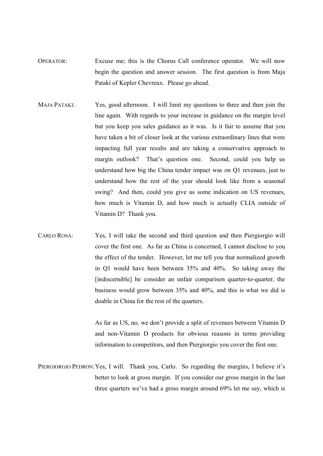- OPERATOR: Excuse me; this is the Chorus Call conference operator. We will now begin the question and answer session. The first question is from Maja Pataki of Kepler Chevreux. Please go ahead.
- MAJA PATAKI: Yes, good afternoon. I will limit my questions to three and then join the line again. With regards to your increase in guidance on the margin level but you keep you sales guidance as it was. Is it fair to assume that you have taken a bit of closer look at the various extraordinary lines that were impacting full year results and are taking a conservative approach to margin outlook? That's question one. Second, could you help us understand how big the China tender impact was on Q1 revenues, just to understand how the rest of the year should look like from a seasonal swing? And then, could you give us some indication on US revenues, how much is Vitamin D, and how much is actually CLIA outside of Vitamin D? Thank you.
- CARLO ROSA: Yes, I will take the second and third question and then Piergiorgio will cover the first one. As far as China is concerned, I cannot disclose to you the effect of the tender. However, let me tell you that normalized growth in Q1 would have been between 35% and 40%. So taking away the [indiscernible] be consider an unfair comparison quarter-to-quarter, the business would grow between 35% and 40%, and this is what we did is doable in China for the rest of the quarters.

 As far as US, no, we don't provide a split of revenues between Vitamin D and non-Vitamin D products for obvious reasons in terms providing information to competitors, and then Piergiorgio you cover the first one.

PIERGIORGIO PEDRON: Yes, I will. Thank you, Carlo. So regarding the margins, I believe it's better to look at gross margin. If you consider our gross margin in the last three quarters we've had a gross margin around 69% let me say, which is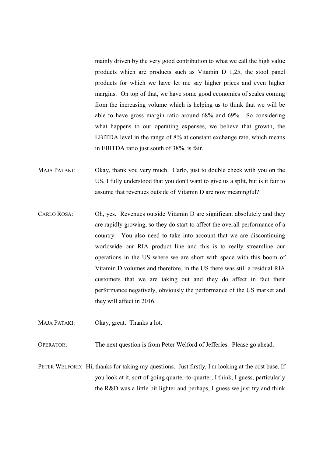mainly driven by the very good contribution to what we call the high value products which are products such as Vitamin D 1,25, the stool panel products for which we have let me say higher prices and even higher margins. On top of that, we have some good economies of scales coming from the increasing volume which is helping us to think that we will be able to have gross margin ratio around 68% and 69%. So considering what happens to our operating expenses, we believe that growth, the EBITDA level in the range of 8% at constant exchange rate, which means in EBITDA ratio just south of 38%, is fair.

- MAJA PATAKI: Okay, thank you very much. Carlo, just to double check with you on the US, I fully understood that you don't want to give us a split, but is it fair to assume that revenues outside of Vitamin D are now meaningful?
- CARLO ROSA: Oh, yes. Revenues outside Vitamin D are significant absolutely and they are rapidly growing, so they do start to affect the overall performance of a country. You also need to take into account that we are discontinuing worldwide our RIA product line and this is to really streamline our operations in the US where we are short with space with this boom of Vitamin D volumes and therefore, in the US there was still a residual RIA customers that we are taking out and they do affect in fact their performance negatively, obviously the performance of the US market and they will affect in 2016.
- MAJA PATAKI: Okay, great. Thanks a lot.
- OPERATOR: The next question is from Peter Welford of Jefferies. Please go ahead.
- PETER WELFORD: Hi, thanks for taking my questions. Just firstly, I'm looking at the cost base. If you look at it, sort of going quarter-to-quarter, I think, I guess, particularly the R&D was a little bit lighter and perhaps, I guess we just try and think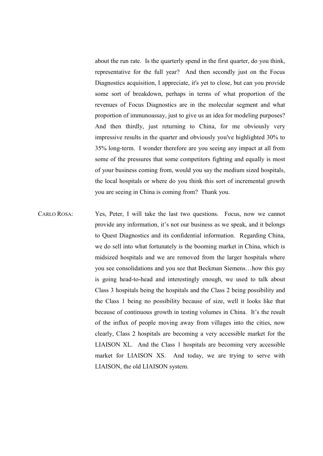about the run rate. Is the quarterly spend in the first quarter, do you think, representative for the full year? And then secondly just on the Focus Diagnostics acquisition, I appreciate, it's yet to close, but can you provide some sort of breakdown, perhaps in terms of what proportion of the revenues of Focus Diagnostics are in the molecular segment and what proportion of immunoassay, just to give us an idea for modeling purposes? And then thirdly, just returning to China, for me obviously very impressive results in the quarter and obviously you've highlighted 30% to 35% long-term. I wonder therefore are you seeing any impact at all from some of the pressures that some competitors fighting and equally is most of your business coming from, would you say the medium sized hospitals, the local hospitals or where do you think this sort of incremental growth you are seeing in China is coming from? Thank you.

CARLO ROSA: Yes, Peter, I will take the last two questions. Focus, now we cannot provide any information, it's not our business as we speak, and it belongs to Quest Diagnostics and its confidential information. Regarding China, we do sell into what fortunately is the booming market in China, which is midsized hospitals and we are removed from the larger hospitals where you see consolidations and you see that Beckman Siemens…how this guy is going head-to-head and interestingly enough, we used to talk about Class 3 hospitals being the hospitals and the Class 2 being possibility and the Class 1 being no possibility because of size, well it looks like that because of continuous growth in testing volumes in China. It's the result of the influx of people moving away from villages into the cities, now clearly, Class 2 hospitals are becoming a very accessible market for the LIAISON XL. And the Class 1 hospitals are becoming very accessible market for LIAISON XS. And today, we are trying to serve with LIAISON, the old LIAISON system.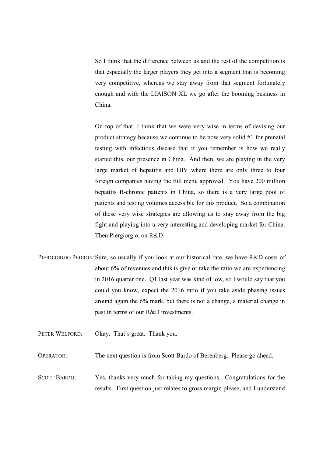So I think that the difference between us and the rest of the competition is that especially the larger players they get into a segment that is becoming very competitive, whereas we stay away from that segment fortunately enough and with the LIAISON XL we go after the booming business in China.

 On top of that, I think that we were very wise in terms of devising our product strategy because we continue to be now very solid #1 for prenatal testing with infectious disease that if you remember is how we really started this, our presence in China. And then, we are playing in the very large market of hepatitis and HIV where there are only three to four foreign companies having the full menu approved. You have 200 million hepatitis B-chronic patients in China, so there is a very large pool of patients and testing volumes accessible for this product. So a combination of these very wise strategies are allowing us to stay away from the big fight and playing into a very interesting and developing market for China. Then Piergiorgio, on R&D.

PIERGIORGIO PEDRON: Sure, so usually if you look at our historical rate, we have R&D costs of about 6% of revenues and this is give or take the ratio we are experiencing in 2016 quarter one. Q1 last year was kind of low, so I would say that you could you know, expect the 2016 ratio if you take aside phasing issues around again the 6% mark, but there is not a change, a material change in past in terms of our R&D investments.

PETER WELFORD: Okay. That's great. Thank you.

OPERATOR: The next question is from Scott Bardo of Berenberg. Please go ahead.

SCOTT BARDO: Yes, thanks very much for taking my questions. Congratulations for the results. First question just relates to gross margin please, and I understand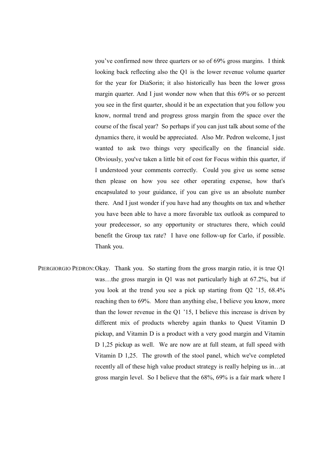you've confirmed now three quarters or so of 69% gross margins. I think looking back reflecting also the Q1 is the lower revenue volume quarter for the year for DiaSorin; it also historically has been the lower gross margin quarter. And I just wonder now when that this 69% or so percent you see in the first quarter, should it be an expectation that you follow you know, normal trend and progress gross margin from the space over the course of the fiscal year? So perhaps if you can just talk about some of the dynamics there, it would be appreciated. Also Mr. Pedron welcome, I just wanted to ask two things very specifically on the financial side. Obviously, you've taken a little bit of cost for Focus within this quarter, if I understood your comments correctly. Could you give us some sense then please on how you see other operating expense, how that's encapsulated to your guidance, if you can give us an absolute number there. And I just wonder if you have had any thoughts on tax and whether you have been able to have a more favorable tax outlook as compared to your predecessor, so any opportunity or structures there, which could benefit the Group tax rate? I have one follow-up for Carlo, if possible. Thank you.

PIERGIORGIO PEDRON: Okay. Thank you. So starting from the gross margin ratio, it is true Q1 was…the gross margin in Q1 was not particularly high at 67.2%, but if you look at the trend you see a pick up starting from Q2 '15, 68.4% reaching then to 69%. More than anything else, I believe you know, more than the lower revenue in the Q1 '15, I believe this increase is driven by different mix of products whereby again thanks to Quest Vitamin D pickup, and Vitamin D is a product with a very good margin and Vitamin D 1,25 pickup as well. We are now are at full steam, at full speed with Vitamin D 1,25. The growth of the stool panel, which we've completed recently all of these high value product strategy is really helping us in…at gross margin level. So I believe that the 68%, 69% is a fair mark where I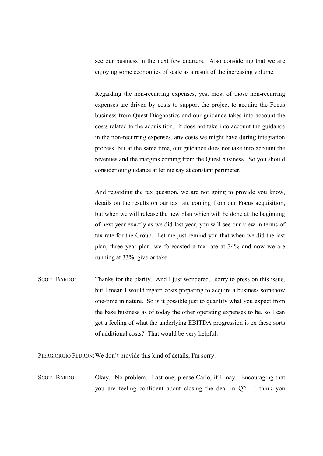see our business in the next few quarters. Also considering that we are enjoying some economies of scale as a result of the increasing volume.

 Regarding the non-recurring expenses, yes, most of those non-recurring expenses are driven by costs to support the project to acquire the Focus business from Quest Diagnostics and our guidance takes into account the costs related to the acquisition. It does not take into account the guidance in the non-recurring expenses, any costs we might have during integration process, but at the same time, our guidance does not take into account the revenues and the margins coming from the Quest business. So you should consider our guidance at let me say at constant perimeter.

 And regarding the tax question, we are not going to provide you know, details on the results on our tax rate coming from our Focus acquisition, but when we will release the new plan which will be done at the beginning of next year exactly as we did last year, you will see our view in terms of tax rate for the Group. Let me just remind you that when we did the last plan, three year plan, we forecasted a tax rate at 34% and now we are running at 33%, give or take.

SCOTT BARDO: Thanks for the clarity. And I just wondered...sorry to press on this issue, but I mean I would regard costs preparing to acquire a business somehow one-time in nature. So is it possible just to quantify what you expect from the base business as of today the other operating expenses to be, so I can get a feeling of what the underlying EBITDA progression is ex these sorts of additional costs? That would be very helpful.

PIERGIORGIO PEDRON: We don't provide this kind of details, I'm sorry.

SCOTT BARDO: Okay. No problem. Last one; please Carlo, if I may. Encouraging that you are feeling confident about closing the deal in Q2. I think you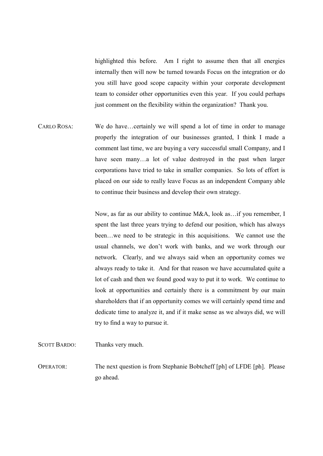highlighted this before. Am I right to assume then that all energies internally then will now be turned towards Focus on the integration or do you still have good scope capacity within your corporate development team to consider other opportunities even this year. If you could perhaps just comment on the flexibility within the organization? Thank you.

CARLO ROSA: We do have…certainly we will spend a lot of time in order to manage properly the integration of our businesses granted, I think I made a comment last time, we are buying a very successful small Company, and I have seen many...a lot of value destroyed in the past when larger corporations have tried to take in smaller companies. So lots of effort is placed on our side to really leave Focus as an independent Company able to continue their business and develop their own strategy.

> Now, as far as our ability to continue M&A, look as…if you remember, I spent the last three years trying to defend our position, which has always been…we need to be strategic in this acquisitions. We cannot use the usual channels, we don't work with banks, and we work through our network. Clearly, and we always said when an opportunity comes we always ready to take it. And for that reason we have accumulated quite a lot of cash and then we found good way to put it to work. We continue to look at opportunities and certainly there is a commitment by our main shareholders that if an opportunity comes we will certainly spend time and dedicate time to analyze it, and if it make sense as we always did, we will try to find a way to pursue it.

SCOTT BARDO: Thanks very much. OPERATOR: The next question is from Stephanie Bobtcheff [ph] of LFDE [ph]. Please go ahead.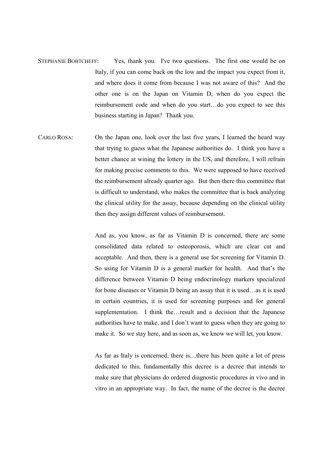- STEPHANIE BOBTCHEFF: Yes, thank you. I've two questions. The first one would be on Italy, if you can come back on the low and the impact you expect from it, and where does it come from because I was not aware of this? And the other one is on the Japan on Vitamin D, when do you expect the reimbursement code and when do you start…do you expect to see this business starting in Japan? Thank you.
- CARLO ROSA: On the Japan one, look over the last five years, I learned the heard way that trying to guess what the Japanese authorities do. I think you have a better chance at wining the lottery in the US, and therefore, I will refrain for making precise comments to this. We were supposed to have received the reimbursement already quarter ago. But then there this committee that is difficult to understand, who makes the committee that is back analyzing the clinical utility for the assay, because depending on the clinical utility then they assign different values of reimbursement.

 And as, you know, as far as Vitamin D is concerned, there are some consolidated data related to osteoporosis, which are clear cut and acceptable. And then, there is a general use for screening for Vitamin D. So using for Vitamin D is a general marker for health. And that's the difference between Vitamin D being endocrinology markers specialized for bone diseases or Vitamin D being an assay that it is used…as it is used in certain countries, it is used for screening purposes and for general supplementation. I think the…result and a decision that the Japanese authorities have to make, and I don't want to guess when they are going to make it. So we stay here, and as soon as, we know we will let, you know.

 As far as Italy is concerned, there is…there has been quite a lot of press dedicated to this, fundamentally this decree is a decree that intends to make sure that physicians do ordered diagnostic procedures in vivo and in vitro in an appropriate way. In fact, the name of the decree is the decree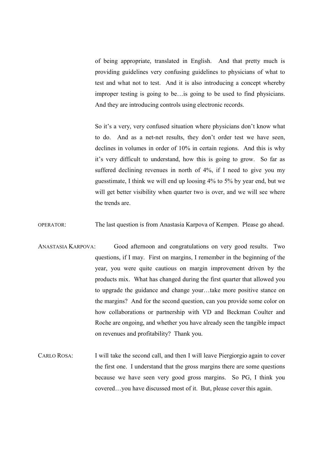of being appropriate, translated in English. And that pretty much is providing guidelines very confusing guidelines to physicians of what to test and what not to test. And it is also introducing a concept whereby improper testing is going to be…is going to be used to find physicians. And they are introducing controls using electronic records.

 So it's a very, very confused situation where physicians don't know what to do. And as a net-net results, they don't order test we have seen, declines in volumes in order of 10% in certain regions. And this is why it's very difficult to understand, how this is going to grow. So far as suffered declining revenues in north of 4%, if I need to give you my guesstimate, I think we will end up loosing 4% to 5% by year end, but we will get better visibility when quarter two is over, and we will see where the trends are.

OPERATOR: The last question is from Anastasia Karpova of Kempen. Please go ahead.

- ANASTASIA KARPOVA: Good afternoon and congratulations on very good results. Two questions, if I may. First on margins, I remember in the beginning of the year, you were quite cautious on margin improvement driven by the products mix. What has changed during the first quarter that allowed you to upgrade the guidance and change your…take more positive stance on the margins? And for the second question, can you provide some color on how collaborations or partnership with VD and Beckman Coulter and Roche are ongoing, and whether you have already seen the tangible impact on revenues and profitability? Thank you.
- CARLO ROSA: I will take the second call, and then I will leave Piergiorgio again to cover the first one. I understand that the gross margins there are some questions because we have seen very good gross margins. So PG, I think you covered…you have discussed most of it. But, please cover this again.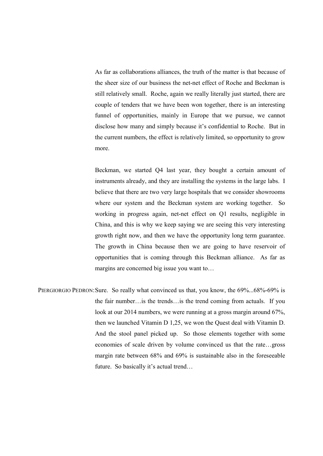As far as collaborations alliances, the truth of the matter is that because of the sheer size of our business the net-net effect of Roche and Beckman is still relatively small. Roche, again we really literally just started, there are couple of tenders that we have been won together, there is an interesting funnel of opportunities, mainly in Europe that we pursue, we cannot disclose how many and simply because it's confidential to Roche. But in the current numbers, the effect is relatively limited, so opportunity to grow more.

 Beckman, we started Q4 last year, they bought a certain amount of instruments already, and they are installing the systems in the large labs. I believe that there are two very large hospitals that we consider showrooms where our system and the Beckman system are working together. So working in progress again, net-net effect on Q1 results, negligible in China, and this is why we keep saying we are seeing this very interesting growth right now, and then we have the opportunity long term guarantee. The growth in China because then we are going to have reservoir of opportunities that is coming through this Beckman alliance. As far as margins are concerned big issue you want to…

PIERGIORGIO PEDRON: Sure. So really what convinced us that, you know, the 69%...68%-69% is the fair number…is the trends…is the trend coming from actuals. If you look at our 2014 numbers, we were running at a gross margin around 67%, then we launched Vitamin D 1,25, we won the Quest deal with Vitamin D. And the stool panel picked up. So those elements together with some economies of scale driven by volume convinced us that the rate…gross margin rate between 68% and 69% is sustainable also in the foreseeable future. So basically it's actual trend…